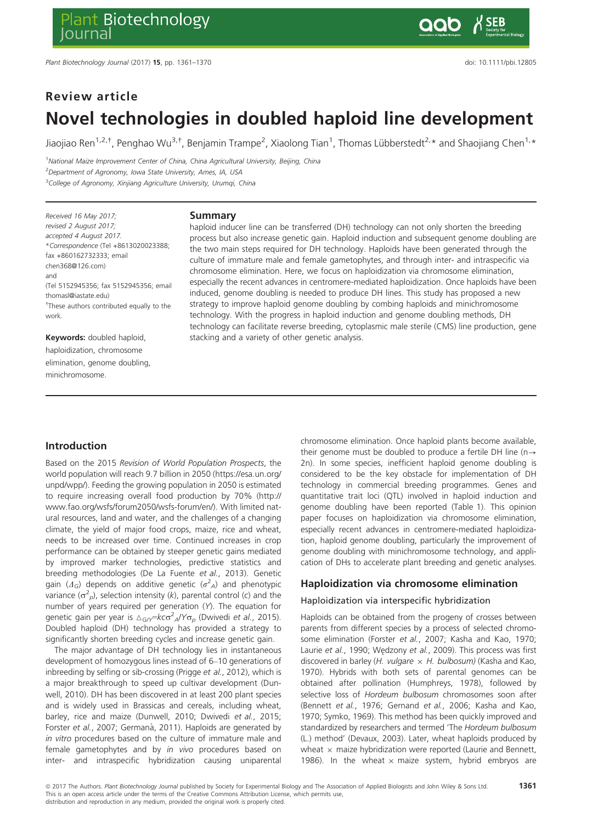# Review article Novel technologies in doubled haploid line development

Jiaojiao Ren<sup>1,2,†</sup>, Penghao Wu<sup>3,†</sup>, Benjamin Trampe<sup>2</sup>, Xiaolong Tian<sup>1</sup>, Thomas Lübberstedt<sup>2,</sup>\* and Shaojiang Chen<sup>1,</sup>\*

<sup>1</sup>National Maize Improvement Center of China, China Agricultural University, Beijing, China <sup>2</sup> Department of Agronomy, Iowa State University, Ames, IA, USA <sup>3</sup>College of Agronomy, Xinjiang Agriculture University, Urumqi, China

Received 16 May 2017; revised 2 August 2017; accepted 4 August 2017. \*Correspondence (Tel +8613020023388; fax +860162732333; email chen368@126.com) and (Tel 5152945356; fax 5152945356; email thomasl@iastate.edu) † These authors contributed equally to the work.

Keywords: doubled haploid, haploidization, chromosome elimination, genome doubling, minichromosome.

#### Summary

haploid inducer line can be transferred (DH) technology can not only shorten the breeding process but also increase genetic gain. Haploid induction and subsequent genome doubling are the two main steps required for DH technology. Haploids have been generated through the culture of immature male and female gametophytes, and through inter- and intraspecific via chromosome elimination. Here, we focus on haploidization via chromosome elimination, especially the recent advances in centromere-mediated haploidization. Once haploids have been induced, genome doubling is needed to produce DH lines. This study has proposed a new strategy to improve haploid genome doubling by combing haploids and minichromosome technology. With the progress in haploid induction and genome doubling methods, DH technology can facilitate reverse breeding, cytoplasmic male sterile (CMS) line production, gene stacking and a variety of other genetic analysis.

# Introduction

Based on the 2015 Revision of World Population Prospects, the world population will reach 9.7 billion in 2050 [\(https://esa.un.org/](https://esa.un.org/unpd/wpp/) [unpd/wpp/\)](https://esa.un.org/unpd/wpp/). Feeding the growing population in 2050 is estimated to require increasing overall food production by 70% ([http://](http://www.fao.org/wsfs/forum2050/wsfs-forum/en/) [www.fao.org/wsfs/forum2050/wsfs-forum/en/](http://www.fao.org/wsfs/forum2050/wsfs-forum/en/)). With limited natural resources, land and water, and the challenges of a changing climate, the yield of major food crops, maize, rice and wheat, needs to be increased over time. Continued increases in crop performance can be obtained by steeper genetic gains mediated by improved marker technologies, predictive statistics and breeding methodologies (De La Fuente et al., 2013). Genetic gain ( $\Delta_G$ ) depends on additive genetic ( $\sigma^2$ <sub>A</sub>) and phenotypic variance ( $\sigma^2_{\ \rho}$ ), selection intensity (k), parental control (c) and the number of years required per generation (Y). The equation for genetic gain per year is  $\Delta_{G/Y}\equiv k\epsilon\sigma^2_{A}/Y\sigma_{p}$  (Dwivedi *et al.*, 2015). Doubled haploid (DH) technology has provided a strategy to significantly shorten breeding cycles and increase genetic gain.

The major advantage of DH technology lies in instantaneous development of homozygous lines instead of 6–10 generations of inbreeding by selfing or sib-crossing (Prigge et al., 2012), which is a major breakthrough to speed up cultivar development (Dunwell, 2010). DH has been discovered in at least 200 plant species and is widely used in Brassicas and cereals, including wheat, barley, rice and maize (Dunwell, 2010; Dwivedi et al., 2015; Forster et al., 2007; Germanà, 2011). Haploids are generated by in vitro procedures based on the culture of immature male and female gametophytes and by in vivo procedures based on inter- and intraspecific hybridization causing uniparental chromosome elimination. Once haploid plants become available, their genome must be doubled to produce a fertile DH line (n $\rightarrow$ 2n). In some species, inefficient haploid genome doubling is considered to be the key obstacle for implementation of DH technology in commercial breeding programmes. Genes and quantitative trait loci (QTL) involved in haploid induction and genome doubling have been reported (Table 1). This opinion paper focuses on haploidization via chromosome elimination, especially recent advances in centromere-mediated haploidization, haploid genome doubling, particularly the improvement of genome doubling with minichromosome technology, and application of DHs to accelerate plant breeding and genetic analyses.

## Haploidization via chromosome elimination

#### Haploidization via interspecific hybridization

Haploids can be obtained from the progeny of crosses between parents from different species by a process of selected chromosome elimination (Forster et al., 2007; Kasha and Kao, 1970; Laurie et al., 1990; Wedzony et al., 2009). This process was first discovered in barley (*H. vulgare*  $\times$  *H. bulbosum*) (Kasha and Kao, 1970). Hybrids with both sets of parental genomes can be obtained after pollination (Humphreys, 1978), followed by selective loss of Hordeum bulbosum chromosomes soon after (Bennett et al., 1976; Gernand et al., 2006; Kasha and Kao, 1970; Symko, 1969). This method has been quickly improved and standardized by researchers and termed 'The Hordeum bulbosum (L.) method' (Devaux, 2003). Later, wheat haploids produced by wheat  $\times$  maize hybridization were reported (Laurie and Bennett, 1986). In the wheat  $\times$  maize system, hybrid embryos are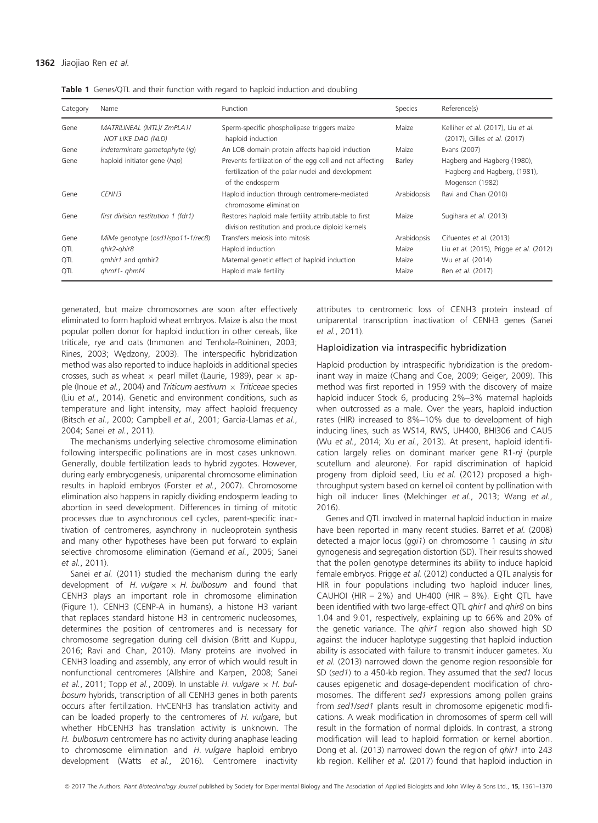| Category   | Name                                             | <b>Function</b>                                                                                                                   | Species     | Reference(s)                                                                   |
|------------|--------------------------------------------------|-----------------------------------------------------------------------------------------------------------------------------------|-------------|--------------------------------------------------------------------------------|
| Gene       | MATRILINEAL (MTL)/ ZmPLA1/<br>NOT LIKE DAD (NLD) | Sperm-specific phospholipase triggers maize<br>haploid induction                                                                  | Maize       | Kelliher et al. (2017), Liu et al.<br>(2017), Gilles et al. (2017)             |
| Gene       | indeterminate gametophyte (ig)                   | An LOB domain protein affects haploid induction                                                                                   | Maize       | Evans (2007)                                                                   |
| Gene       | haploid initiator gene (hap)                     | Prevents fertilization of the egg cell and not affecting<br>fertilization of the polar nuclei and development<br>of the endosperm | Barley      | Hagberg and Hagberg (1980),<br>Hagberg and Hagberg, (1981),<br>Mogensen (1982) |
| Gene       | CENH <sub>3</sub>                                | Haploid induction through centromere-mediated<br>chromosome elimination                                                           | Arabidopsis | Ravi and Chan (2010)                                                           |
| Gene       | first division restitution 1 (fdr1)              | Restores haploid male fertility attributable to first<br>division restitution and produce diploid kernels                         | Maize       | Sugihara et al. (2013)                                                         |
| Gene       | MiMe genotype (osd1/spo11-1/rec8)                | Transfers mejosis into mitosis                                                                                                    | Arabidopsis | Cifuentes et al. (2013)                                                        |
| <b>QTL</b> | ghir2-ghir8                                      | Haploid induction                                                                                                                 | Maize       | Liu et al. (2015), Prigge et al. (2012)                                        |
| <b>QTL</b> | <i>amhir1</i> and <i>amhir2</i>                  | Maternal genetic effect of haploid induction                                                                                      | Maize       | Wu et al. (2014)                                                               |
| <b>QTL</b> | $qhmf1 - qhmf4$                                  | Haploid male fertility                                                                                                            | Maize       | Ren et al. (2017)                                                              |

Table 1 Genes/QTL and their function with regard to haploid induction and doubling

generated, but maize chromosomes are soon after effectively eliminated to form haploid wheat embryos. Maize is also the most popular pollen donor for haploid induction in other cereals, like triticale, rye and oats (Immonen and Tenhola-Roininen, 2003; Rines, 2003; Wedzony, 2003). The interspecific hybridization method was also reported to induce haploids in additional species crosses, such as wheat  $\times$  pearl millet (Laurie, 1989), pear  $\times$  apple (Inoue et al., 2004) and Triticum aestivum  $\times$  Triticeae species (Liu et al., 2014). Genetic and environment conditions, such as temperature and light intensity, may affect haploid frequency (Bitsch et al., 2000; Campbell et al., 2001; Garcia-Llamas et al., 2004; Sanei et al., 2011).

The mechanisms underlying selective chromosome elimination following interspecific pollinations are in most cases unknown. Generally, double fertilization leads to hybrid zygotes. However, during early embryogenesis, uniparental chromosome elimination results in haploid embryos (Forster et al., 2007). Chromosome elimination also happens in rapidly dividing endosperm leading to abortion in seed development. Differences in timing of mitotic processes due to asynchronous cell cycles, parent-specific inactivation of centromeres, asynchrony in nucleoprotein synthesis and many other hypotheses have been put forward to explain selective chromosome elimination (Gernand et al., 2005; Sanei et al., 2011).

Sanei et al. (2011) studied the mechanism during the early development of H. vulgare  $\times$  H. bulbosum and found that CENH3 plays an important role in chromosome elimination (Figure 1). CENH3 (CENP-A in humans), a histone H3 variant that replaces standard histone H3 in centromeric nucleosomes, determines the position of centromeres and is necessary for chromosome segregation during cell division (Britt and Kuppu, 2016; Ravi and Chan, 2010). Many proteins are involved in CENH3 loading and assembly, any error of which would result in nonfunctional centromeres (Allshire and Karpen, 2008; Sanei et al., 2011; Topp et al., 2009). In unstable H. vulgare  $\times$  H. bulbosum hybrids, transcription of all CENH3 genes in both parents occurs after fertilization. HvCENH3 has translation activity and can be loaded properly to the centromeres of  $H$ . vulgare, but whether HbCENH3 has translation activity is unknown. The H. bulbosum centromere has no activity during anaphase leading to chromosome elimination and H. vulgare haploid embryo development (Watts et al., 2016). Centromere inactivity

attributes to centromeric loss of CENH3 protein instead of uniparental transcription inactivation of CENH3 genes (Sanei et al., 2011).

#### Haploidization via intraspecific hybridization

Haploid production by intraspecific hybridization is the predominant way in maize (Chang and Coe, 2009; Geiger, 2009). This method was first reported in 1959 with the discovery of maize haploid inducer Stock 6, producing 2%–3% maternal haploids when outcrossed as a male. Over the years, haploid induction rates (HIR) increased to 8%–10% due to development of high inducing lines, such as WS14, RWS, UH400, BHI306 and CAU5 (Wu et al., 2014; Xu et al., 2013). At present, haploid identification largely relies on dominant marker gene R1-nj (purple scutellum and aleurone). For rapid discrimination of haploid progeny from diploid seed, Liu et al. (2012) proposed a highthroughput system based on kernel oil content by pollination with high oil inducer lines (Melchinger et al., 2013; Wang et al., 2016).

Genes and QTL involved in maternal haploid induction in maize have been reported in many recent studies. Barret et al. (2008) detected a major locus (ggi1) on chromosome 1 causing in situ gynogenesis and segregation distortion (SD). Their results showed that the pollen genotype determines its ability to induce haploid female embryos. Prigge et al. (2012) conducted a QTL analysis for HIR in four populations including two haploid inducer lines, CAUHOI (HIR =  $2\%$ ) and UH400 (HIR =  $8\%$ ). Eight QTL have been identified with two large-effect QTL qhir1 and qhir8 on bins 1.04 and 9.01, respectively, explaining up to 66% and 20% of the genetic variance. The *qhir1* region also showed high SD against the inducer haplotype suggesting that haploid induction ability is associated with failure to transmit inducer gametes. Xu et al. (2013) narrowed down the genome region responsible for SD (sed1) to a 450-kb region. They assumed that the sed1 locus causes epigenetic and dosage-dependent modification of chromosomes. The different sed1 expressions among pollen grains from sed1/sed1 plants result in chromosome epigenetic modifications. A weak modification in chromosomes of sperm cell will result in the formation of normal diploids. In contrast, a strong modification will lead to haploid formation or kernel abortion. Dong et al. (2013) narrowed down the region of qhir1 into 243 kb region. Kelliher et al. (2017) found that haploid induction in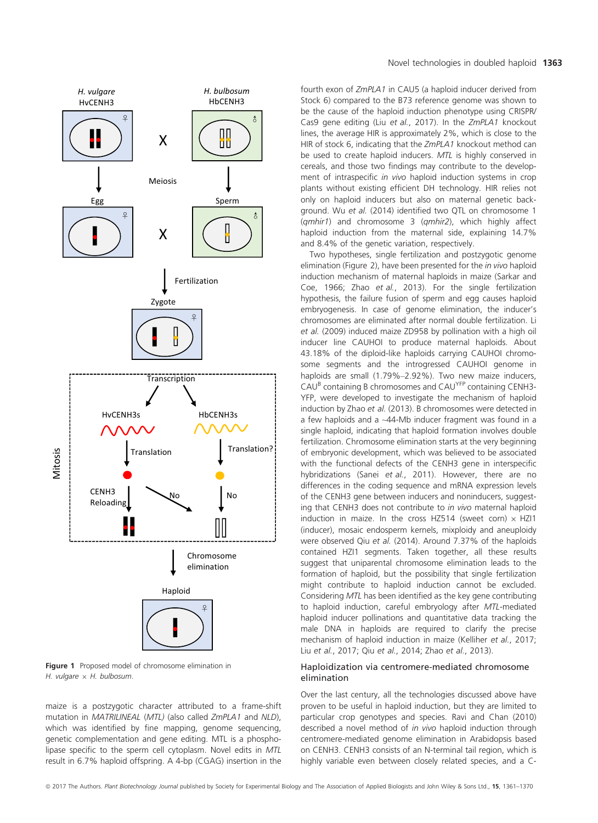

Figure 1 Proposed model of chromosome elimination in H. vulgare  $\times$  H. bulbosum.

maize is a postzygotic character attributed to a frame-shift mutation in MATRILINEAL (MTL) (also called ZmPLA1 and NLD), which was identified by fine mapping, genome sequencing, genetic complementation and gene editing. MTL is a phospholipase specific to the sperm cell cytoplasm. Novel edits in MTL result in 6.7% haploid offspring. A 4-bp (CGAG) insertion in the

fourth exon of ZmPLA1 in CAU5 (a haploid inducer derived from Stock 6) compared to the B73 reference genome was shown to be the cause of the haploid induction phenotype using CRISPR/ Cas9 gene editing (Liu et al., 2017). In the ZmPLA1 knockout lines, the average HIR is approximately 2%, which is close to the HIR of stock 6, indicating that the ZmPLA1 knockout method can be used to create haploid inducers. MTL is highly conserved in cereals, and those two findings may contribute to the development of intraspecific in vivo haploid induction systems in crop plants without existing efficient DH technology. HIR relies not only on haploid inducers but also on maternal genetic background. Wu et al. (2014) identified two QTL on chromosome 1 (qmhir1) and chromosome 3 (qmhir2), which highly affect haploid induction from the maternal side, explaining 14.7% and 8.4% of the genetic variation, respectively.

Two hypotheses, single fertilization and postzygotic genome elimination (Figure 2), have been presented for the in vivo haploid induction mechanism of maternal haploids in maize (Sarkar and Coe, 1966; Zhao et al., 2013). For the single fertilization hypothesis, the failure fusion of sperm and egg causes haploid embryogenesis. In case of genome elimination, the inducer's chromosomes are eliminated after normal double fertilization. Li et al. (2009) induced maize ZD958 by pollination with a high oil inducer line CAUHOI to produce maternal haploids. About 43.18% of the diploid-like haploids carrying CAUHOI chromosome segments and the introgressed CAUHOI genome in haploids are small (1.79%–2.92%). Two new maize inducers, CAU<sup>B</sup> containing B chromosomes and CAUYFP containing CENH3- YFP, were developed to investigate the mechanism of haploid induction by Zhao et al. (2013). B chromosomes were detected in a few haploids and a ~44-Mb inducer fragment was found in a single haploid, indicating that haploid formation involves double fertilization. Chromosome elimination starts at the very beginning of embryonic development, which was believed to be associated with the functional defects of the CENH3 gene in interspecific hybridizations (Sanei et al., 2011). However, there are no differences in the coding sequence and mRNA expression levels of the CENH3 gene between inducers and noninducers, suggesting that CENH3 does not contribute to in vivo maternal haploid induction in maize. In the cross HZ514 (sweet corn)  $\times$  HZI1 (inducer), mosaic endosperm kernels, mixploidy and aneuploidy were observed Qiu et al. (2014). Around 7.37% of the haploids contained HZI1 segments. Taken together, all these results suggest that uniparental chromosome elimination leads to the formation of haploid, but the possibility that single fertilization might contribute to haploid induction cannot be excluded. Considering MTL has been identified as the key gene contributing to haploid induction, careful embryology after MTL-mediated haploid inducer pollinations and quantitative data tracking the male DNA in haploids are required to clarify the precise mechanism of haploid induction in maize (Kelliher et al., 2017; Liu et al., 2017; Qiu et al., 2014; Zhao et al., 2013).

#### Haploidization via centromere-mediated chromosome elimination

Over the last century, all the technologies discussed above have proven to be useful in haploid induction, but they are limited to particular crop genotypes and species. Ravi and Chan (2010) described a novel method of in vivo haploid induction through centromere-mediated genome elimination in Arabidopsis based on CENH3. CENH3 consists of an N-terminal tail region, which is highly variable even between closely related species, and a C-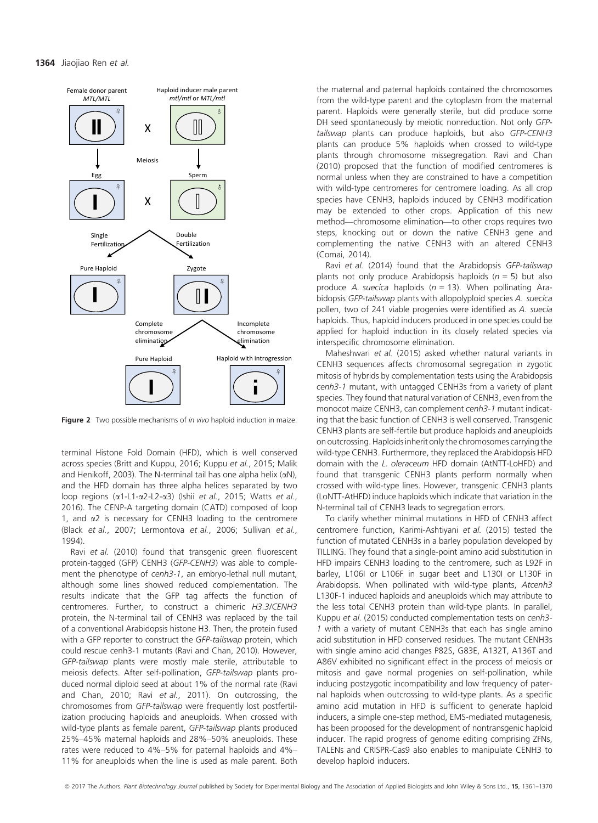

Figure 2 Two possible mechanisms of *in vivo* haploid induction in maize.

terminal Histone Fold Domain (HFD), which is well conserved across species (Britt and Kuppu, 2016; Kuppu et al., 2015; Malik and Henikoff, 2003). The N-terminal tail has one alpha helix  $(\alpha N)$ , and the HFD domain has three alpha helices separated by two loop regions (a1-L1-a2-L2-a3) (Ishii et al., 2015; Watts et al., 2016). The CENP-A targeting domain (CATD) composed of loop 1, and  $\alpha$ 2 is necessary for CENH3 loading to the centromere (Black et al., 2007; Lermontova et al., 2006; Sullivan et al., 1994).

Ravi et al. (2010) found that transgenic green fluorescent protein-tagged (GFP) CENH3 (GFP-CENH3) was able to complement the phenotype of cenh3-1, an embryo-lethal null mutant, although some lines showed reduced complementation. The results indicate that the GFP tag affects the function of centromeres. Further, to construct a chimeric H3.3/CENH3 protein, the N-terminal tail of CENH3 was replaced by the tail of a conventional Arabidopsis histone H3. Then, the protein fused with a GFP reporter to construct the GFP-tailswap protein, which could rescue cenh3-1 mutants (Ravi and Chan, 2010). However, GFP-tailswap plants were mostly male sterile, attributable to meiosis defects. After self-pollination, GFP-tailswap plants produced normal diploid seed at about 1% of the normal rate (Ravi and Chan, 2010; Ravi et al., 2011). On outcrossing, the chromosomes from GFP-tailswap were frequently lost postfertilization producing haploids and aneuploids. When crossed with wild-type plants as female parent, GFP-tailswap plants produced 25%–45% maternal haploids and 28%–50% aneuploids. These rates were reduced to 4%–5% for paternal haploids and 4%– 11% for aneuploids when the line is used as male parent. Both

the maternal and paternal haploids contained the chromosomes from the wild-type parent and the cytoplasm from the maternal parent. Haploids were generally sterile, but did produce some DH seed spontaneously by meiotic nonreduction. Not only GFPtailswap plants can produce haploids, but also GFP-CENH3 plants can produce 5% haploids when crossed to wild-type plants through chromosome missegregation. Ravi and Chan (2010) proposed that the function of modified centromeres is normal unless when they are constrained to have a competition with wild-type centromeres for centromere loading. As all crop species have CENH3, haploids induced by CENH3 modification may be extended to other crops. Application of this new method—chromosome elimination—to other crops requires two steps, knocking out or down the native CENH3 gene and complementing the native CENH3 with an altered CENH3 (Comai, 2014).

Ravi et al. (2014) found that the Arabidopsis GFP-tailswap plants not only produce Arabidopsis haploids ( $n = 5$ ) but also produce A. suecica haploids ( $n = 13$ ). When pollinating Arabidopsis GFP-tailswap plants with allopolyploid species A. suecica pollen, two of 241 viable progenies were identified as A. suecia haploids. Thus, haploid inducers produced in one species could be applied for haploid induction in its closely related species via interspecific chromosome elimination.

Maheshwari et al. (2015) asked whether natural variants in CENH3 sequences affects chromosomal segregation in zygotic mitosis of hybrids by complementation tests using the Arabidopsis cenh3-1 mutant, with untagged CENH3s from a variety of plant species. They found that natural variation of CENH3, even from the monocot maize CENH3, can complement cenh3-1 mutant indicating that the basic function of CENH3 is well conserved. Transgenic CENH3 plants are self-fertile but produce haploids and aneuploids on outcrossing. Haploids inherit only the chromosomes carrying the wild-type CENH3. Furthermore, they replaced the Arabidopsis HFD domain with the L. oleraceum HFD domain (AtNTT-LoHFD) and found that transgenic CENH3 plants perform normally when crossed with wild-type lines. However, transgenic CENH3 plants (LoNTT-AtHFD) induce haploids which indicate that variation in the N-terminal tail of CENH3 leads to segregation errors.

To clarify whether minimal mutations in HFD of CENH3 affect centromere function, Karimi-Ashtiyani et al. (2015) tested the function of mutated CENH3s in a barley population developed by TILLING. They found that a single-point amino acid substitution in HFD impairs CENH3 loading to the centromere, such as L92F in barley, L106I or L106F in sugar beet and L130I or L130F in Arabidopsis. When pollinated with wild-type plants, Atcenh3 L130F-1 induced haploids and aneuploids which may attribute to the less total CENH3 protein than wild-type plants. In parallel, Kuppu et al. (2015) conducted complementation tests on cenh3- 1 with a variety of mutant CENH3s that each has single amino acid substitution in HFD conserved residues. The mutant CENH3s with single amino acid changes P82S, G83E, A132T, A136T and A86V exhibited no significant effect in the process of meiosis or mitosis and gave normal progenies on self-pollination, while inducing postzygotic incompatibility and low frequency of paternal haploids when outcrossing to wild-type plants. As a specific amino acid mutation in HFD is sufficient to generate haploid inducers, a simple one-step method, EMS-mediated mutagenesis, has been proposed for the development of nontransgenic haploid inducer. The rapid progress of genome editing comprising ZFNs, TALENs and CRISPR-Cas9 also enables to manipulate CENH3 to develop haploid inducers.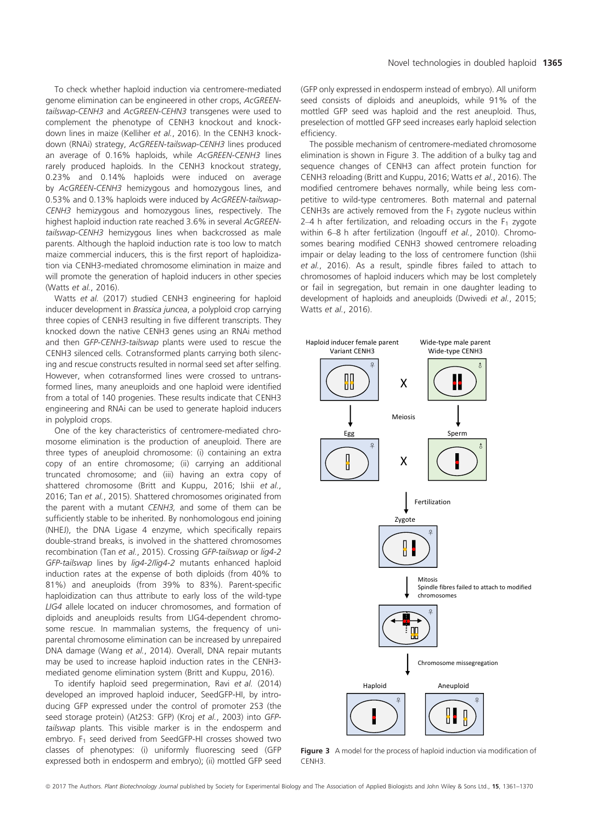To check whether haploid induction via centromere-mediated genome elimination can be engineered in other crops, AcGREENtailswap-CENH3 and AcGREEN-CEHN3 transgenes were used to complement the phenotype of CENH3 knockout and knockdown lines in maize (Kelliher et al., 2016). In the CENH3 knockdown (RNAi) strategy, AcGREEN-tailswap-CENH3 lines produced an average of 0.16% haploids, while AcGREEN-CENH3 lines rarely produced haploids. In the CENH3 knockout strategy, 0.23% and 0.14% haploids were induced on average by AcGREEN-CENH3 hemizygous and homozygous lines, and 0.53% and 0.13% haploids were induced by AcGREEN-tailswap-CENH3 hemizygous and homozygous lines, respectively. The highest haploid induction rate reached 3.6% in several AcGREENtailswap-CENH3 hemizygous lines when backcrossed as male parents. Although the haploid induction rate is too low to match maize commercial inducers, this is the first report of haploidization via CENH3-mediated chromosome elimination in maize and will promote the generation of haploid inducers in other species (Watts et al., 2016).

Watts et al. (2017) studied CENH3 engineering for haploid inducer development in Brassica juncea, a polyploid crop carrying three copies of CENH3 resulting in five different transcripts. They knocked down the native CENH3 genes using an RNAi method and then GFP-CENH3-tailswap plants were used to rescue the CENH3 silenced cells. Cotransformed plants carrying both silencing and rescue constructs resulted in normal seed set after selfing. However, when cotransformed lines were crossed to untransformed lines, many aneuploids and one haploid were identified from a total of 140 progenies. These results indicate that CENH3 engineering and RNAi can be used to generate haploid inducers in polyploid crops.

One of the key characteristics of centromere-mediated chromosome elimination is the production of aneuploid. There are three types of aneuploid chromosome: (i) containing an extra copy of an entire chromosome; (ii) carrying an additional truncated chromosome; and (iii) having an extra copy of shattered chromosome (Britt and Kuppu, 2016; Ishii et al., 2016; Tan et al., 2015). Shattered chromosomes originated from the parent with a mutant CENH3, and some of them can be sufficiently stable to be inherited. By nonhomologous end joining (NHEJ), the DNA Ligase 4 enzyme, which specifically repairs double-strand breaks, is involved in the shattered chromosomes recombination (Tan et al., 2015). Crossing GFP-tailswap or lig4-2 GFP-tailswap lines by lig4-2/lig4-2 mutants enhanced haploid induction rates at the expense of both diploids (from 40% to 81%) and aneuploids (from 39% to 83%). Parent-specific haploidization can thus attribute to early loss of the wild-type LIG4 allele located on inducer chromosomes, and formation of diploids and aneuploids results from LIG4-dependent chromosome rescue. In mammalian systems, the frequency of uniparental chromosome elimination can be increased by unrepaired DNA damage (Wang et al., 2014). Overall, DNA repair mutants may be used to increase haploid induction rates in the CENH3 mediated genome elimination system (Britt and Kuppu, 2016).

To identify haploid seed pregermination, Ravi et al. (2014) developed an improved haploid inducer, SeedGFP-HI, by introducing GFP expressed under the control of promoter 2S3 (the seed storage protein) (At2S3: GFP) (Kroj et al., 2003) into GFPtailswap plants. This visible marker is in the endosperm and embryo.  $F_1$  seed derived from SeedGFP-HI crosses showed two classes of phenotypes: (i) uniformly fluorescing seed (GFP expressed both in endosperm and embryo); (ii) mottled GFP seed

(GFP only expressed in endosperm instead of embryo). All uniform seed consists of diploids and aneuploids, while 91% of the mottled GFP seed was haploid and the rest aneuploid. Thus, preselection of mottled GFP seed increases early haploid selection efficiency.

The possible mechanism of centromere-mediated chromosome elimination is shown in Figure 3. The addition of a bulky tag and sequence changes of CENH3 can affect protein function for CENH3 reloading (Britt and Kuppu, 2016; Watts et al., 2016). The modified centromere behaves normally, while being less competitive to wild-type centromeres. Both maternal and paternal CENH3s are actively removed from the  $F_1$  zygote nucleus within 2–4 h after fertilization, and reloading occurs in the  $F_1$  zygote within 6–8 h after fertilization (Ingouff et al., 2010). Chromosomes bearing modified CENH3 showed centromere reloading impair or delay leading to the loss of centromere function (Ishii et al., 2016). As a result, spindle fibres failed to attach to chromosomes of haploid inducers which may be lost completely or fail in segregation, but remain in one daughter leading to development of haploids and aneuploids (Dwivedi et al., 2015; Watts et al., 2016).



Figure 3 A model for the process of haploid induction via modification of CENH3.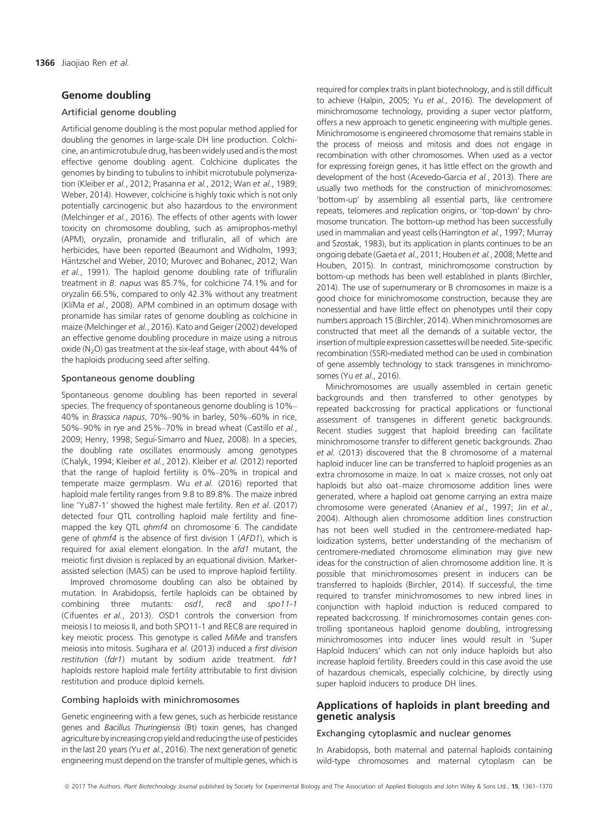# Genome doubling

## Artificial genome doubling

Artificial genome doubling is the most popular method applied for doubling the genomes in large-scale DH line production. Colchicine, an antimicrotubule drug, has been widely used and is the most effective genome doubling agent. Colchicine duplicates the genomes by binding to tubulins to inhibit microtubule polymerization (Kleiber et al., 2012; Prasanna et al., 2012; Wan et al., 1989; Weber, 2014). However, colchicine is highly toxic which is not only potentially carcinogenic but also hazardous to the environment (Melchinger et al., 2016). The effects of other agents with lower toxicity on chromosome doubling, such as amiprophos-methyl (APM), oryzalin, pronamide and trifluralin, all of which are herbicides, have been reported (Beaumont and Widholm, 1993; Häntzschel and Weber, 2010; Murovec and Bohanec, 2012; Wan et al., 1991). The haploid genome doubling rate of trifluralin treatment in B. napus was 85.7%, for colchicine 74.1% and for oryzalin 66.5%, compared to only 42.3% without any treatment (KlíMa et al., 2008). APM combined in an optimum dosage with pronamide has similar rates of genome doubling as colchicine in maize (Melchinger et al., 2016). Kato and Geiger (2002) developed an effective genome doubling procedure in maize using a nitrous oxide ( $N<sub>2</sub>O$ ) gas treatment at the six-leaf stage, with about 44% of the haploids producing seed after selfing.

## Spontaneous genome doubling

Spontaneous genome doubling has been reported in several species. The frequency of spontaneous genome doubling is 10%– 40% in Brassica napus, 70%–90% in barley, 50%–60% in rice, 50%–90% in rye and 25%–70% in bread wheat (Castillo et al., 2009; Henry, 1998; Seguı-Simarro and Nuez, 2008). In a species, the doubling rate oscillates enormously among genotypes (Chalyk, 1994; Kleiber et al., 2012). Kleiber et al. (2012) reported that the range of haploid fertility is 0%–20% in tropical and temperate maize germplasm. Wu et al. (2016) reported that haploid male fertility ranges from 9.8 to 89.8%. The maize inbred line 'Yu87-1' showed the highest male fertility. Ren et al. (2017) detected four QTL controlling haploid male fertility and finemapped the key QTL qhmf4 on chromosome 6. The candidate gene of qhmf4 is the absence of first division 1 (AFD1), which is required for axial element elongation. In the afd1 mutant, the meiotic first division is replaced by an equational division. Markerassisted selection (MAS) can be used to improve haploid fertility.

Improved chromosome doubling can also be obtained by mutation. In Arabidopsis, fertile haploids can be obtained by combining three mutants: osd1, rec8 and spo11-1 (Cifuentes et al., 2013). OSD1 controls the conversion from meiosis I to meiosis II, and both SPO11-1 and REC8 are required in key meiotic process. This genotype is called MiMe and transfers meiosis into mitosis. Sugihara et al. (2013) induced a first division restitution (fdr1) mutant by sodium azide treatment. fdr1 haploids restore haploid male fertility attributable to first division restitution and produce diploid kernels.

## Combing haploids with minichromosomes

Genetic engineering with a few genes, such as herbicide resistance genes and Bacillus Thuringiensis (Bt) toxin genes, has changed agriculture by increasing crop yield and reducing the use of pesticides in the last 20 years (Yu et al., 2016). The next generation of genetic engineering must depend on the transfer of multiple genes, which is required for complex traits in plant biotechnology, and is still difficult to achieve (Halpin, 2005; Yu et al., 2016). The development of minichromosome technology, providing a super vector platform, offers a new approach to genetic engineering with multiple genes. Minichromosome is engineered chromosome that remains stable in the process of meiosis and mitosis and does not engage in recombination with other chromosomes. When used as a vector for expressing foreign genes, it has little effect on the growth and development of the host (Acevedo-Garcia et al., 2013). There are usually two methods for the construction of minichromosomes: 'bottom-up' by assembling all essential parts, like centromere repeats, telomeres and replication origins, or 'top-down' by chromosome truncation. The bottom-up method has been successfully used in mammalian and yeast cells (Harrington et al., 1997; Murray and Szostak, 1983), but its application in plants continues to be an ongoing debate (Gaeta et al., 2011; Houben et al., 2008; Mette and Houben, 2015). In contrast, minichromosome construction by bottom-up methods has been well established in plants (Birchler, 2014). The use of supernumerary or B chromosomes in maize is a good choice for minichromosome construction, because they are nonessential and have little effect on phenotypes until their copy numbers approach 15 (Birchler, 2014). When minichromosomes are constructed that meet all the demands of a suitable vector, the insertion of multiple expression cassettes will be needed. Site-specific recombination (SSR)-mediated method can be used in combination of gene assembly technology to stack transgenes in minichromosomes (Yu et al., 2016).

Minichromosomes are usually assembled in certain genetic backgrounds and then transferred to other genotypes by repeated backcrossing for practical applications or functional assessment of transgenes in different genetic backgrounds. Recent studies suggest that haploid breeding can facilitate minichromosome transfer to different genetic backgrounds. Zhao et al. (2013) discovered that the B chromosome of a maternal haploid inducer line can be transferred to haploid progenies as an extra chromosome in maize. In oat  $\times$  maize crosses, not only oat haploids but also oat–maize chromosome addition lines were generated, where a haploid oat genome carrying an extra maize chromosome were generated (Ananiev et al., 1997; Jin et al., 2004). Although alien chromosome addition lines construction has not been well studied in the centromere-mediated haploidization systems, better understanding of the mechanism of centromere-mediated chromosome elimination may give new ideas for the construction of alien chromosome addition line. It is possible that minichromosomes present in inducers can be transferred to haploids (Birchler, 2014). If successful, the time required to transfer minichromosomes to new inbred lines in conjunction with haploid induction is reduced compared to repeated backcrossing. If minichromosomes contain genes controlling spontaneous haploid genome doubling, introgressing minichromosomes into inducer lines would result in 'Super Haploid Inducers' which can not only induce haploids but also increase haploid fertility. Breeders could in this case avoid the use of hazardous chemicals, especially colchicine, by directly using super haploid inducers to produce DH lines.

# Applications of haploids in plant breeding and genetic analysis

# Exchanging cytoplasmic and nuclear genomes

In Arabidopsis, both maternal and paternal haploids containing wild-type chromosomes and maternal cytoplasm can be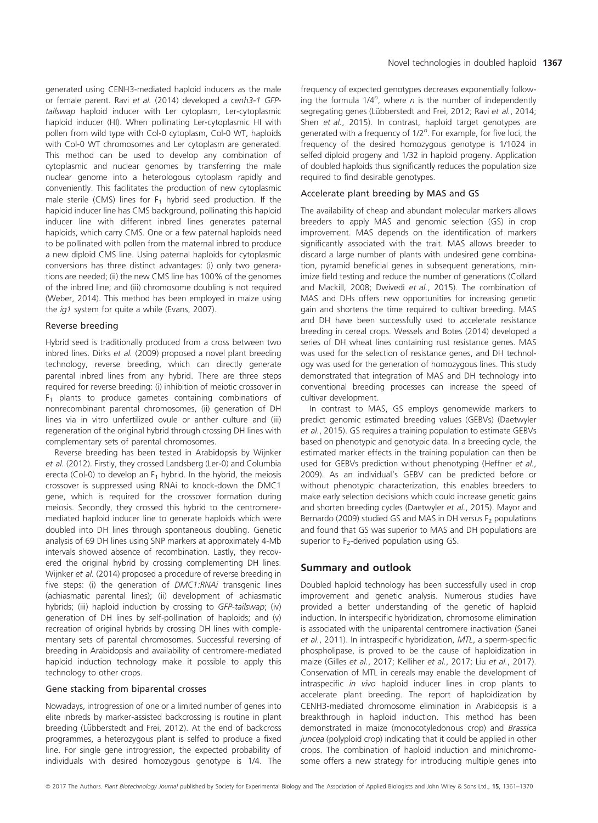generated using CENH3-mediated haploid inducers as the male or female parent. Ravi et al. (2014) developed a cenh3-1 GFPtailswap haploid inducer with Ler cytoplasm, Ler-cytoplasmic haploid inducer (HI). When pollinating Ler-cytoplasmic HI with pollen from wild type with Col-0 cytoplasm, Col-0 WT, haploids with Col-0 WT chromosomes and Ler cytoplasm are generated. This method can be used to develop any combination of cytoplasmic and nuclear genomes by transferring the male nuclear genome into a heterologous cytoplasm rapidly and conveniently. This facilitates the production of new cytoplasmic male sterile (CMS) lines for  $F_1$  hybrid seed production. If the haploid inducer line has CMS background, pollinating this haploid inducer line with different inbred lines generates paternal haploids, which carry CMS. One or a few paternal haploids need to be pollinated with pollen from the maternal inbred to produce a new diploid CMS line. Using paternal haploids for cytoplasmic conversions has three distinct advantages: (i) only two generations are needed; (ii) the new CMS line has 100% of the genomes of the inbred line; and (iii) chromosome doubling is not required (Weber, 2014). This method has been employed in maize using the *ig1* system for quite a while (Evans, 2007).

#### Reverse breeding

Hybrid seed is traditionally produced from a cross between two inbred lines. Dirks et al. (2009) proposed a novel plant breeding technology, reverse breeding, which can directly generate parental inbred lines from any hybrid. There are three steps required for reverse breeding: (i) inhibition of meiotic crossover in  $F_1$  plants to produce gametes containing combinations of nonrecombinant parental chromosomes, (ii) generation of DH lines via in vitro unfertilized ovule or anther culture and (iii) regeneration of the original hybrid through crossing DH lines with complementary sets of parental chromosomes.

Reverse breeding has been tested in Arabidopsis by Wijnker et al. (2012). Firstly, they crossed Landsberg (Ler-0) and Columbia erecta (Col-0) to develop an  $F_1$  hybrid. In the hybrid, the meiosis crossover is suppressed using RNAi to knock-down the DMC1 gene, which is required for the crossover formation during meiosis. Secondly, they crossed this hybrid to the centromeremediated haploid inducer line to generate haploids which were doubled into DH lines through spontaneous doubling. Genetic analysis of 69 DH lines using SNP markers at approximately 4-Mb intervals showed absence of recombination. Lastly, they recovered the original hybrid by crossing complementing DH lines. Wijnker et al. (2014) proposed a procedure of reverse breeding in five steps: (i) the generation of DMC1:RNAi transgenic lines (achiasmatic parental lines); (ii) development of achiasmatic hybrids; (iii) haploid induction by crossing to GFP-tailswap; (iv) generation of DH lines by self-pollination of haploids; and (v) recreation of original hybrids by crossing DH lines with complementary sets of parental chromosomes. Successful reversing of breeding in Arabidopsis and availability of centromere-mediated haploid induction technology make it possible to apply this technology to other crops.

# Gene stacking from biparental crosses

Nowadays, introgression of one or a limited number of genes into elite inbreds by marker-assisted backcrossing is routine in plant breeding (Lübberstedt and Frei, 2012). At the end of backcross programmes, a heterozygous plant is selfed to produce a fixed line. For single gene introgression, the expected probability of individuals with desired homozygous genotype is 1/4. The

frequency of expected genotypes decreases exponentially following the formula  $1/4^n$ , where n is the number of independently segregating genes (Lübberstedt and Frei, 2012; Ravi et al., 2014; Shen et al., 2015). In contrast, haploid target genotypes are generated with a frequency of 1/2<sup>n</sup>. For example, for five loci, the frequency of the desired homozygous genotype is 1/1024 in selfed diploid progeny and 1/32 in haploid progeny. Application of doubled haploids thus significantly reduces the population size required to find desirable genotypes.

## Accelerate plant breeding by MAS and GS

The availability of cheap and abundant molecular markers allows breeders to apply MAS and genomic selection (GS) in crop improvement. MAS depends on the identification of markers significantly associated with the trait. MAS allows breeder to discard a large number of plants with undesired gene combination, pyramid beneficial genes in subsequent generations, minimize field testing and reduce the number of generations (Collard and Mackill, 2008; Dwivedi et al., 2015). The combination of MAS and DHs offers new opportunities for increasing genetic gain and shortens the time required to cultivar breeding. MAS and DH have been successfully used to accelerate resistance breeding in cereal crops. Wessels and Botes (2014) developed a series of DH wheat lines containing rust resistance genes. MAS was used for the selection of resistance genes, and DH technology was used for the generation of homozygous lines. This study demonstrated that integration of MAS and DH technology into conventional breeding processes can increase the speed of cultivar development.

In contrast to MAS, GS employs genomewide markers to predict genomic estimated breeding values (GEBVs) (Daetwyler et al., 2015). GS requires a training population to estimate GEBVs based on phenotypic and genotypic data. In a breeding cycle, the estimated marker effects in the training population can then be used for GEBVs prediction without phenotyping (Heffner et al., 2009). As an individual's GEBV can be predicted before or without phenotypic characterization, this enables breeders to make early selection decisions which could increase genetic gains and shorten breeding cycles (Daetwyler et al., 2015). Mayor and Bernardo (2009) studied GS and MAS in DH versus  $F<sub>2</sub>$  populations and found that GS was superior to MAS and DH populations are superior to  $F_2$ -derived population using GS.

## Summary and outlook

Doubled haploid technology has been successfully used in crop improvement and genetic analysis. Numerous studies have provided a better understanding of the genetic of haploid induction. In interspecific hybridization, chromosome elimination is associated with the uniparental centromere inactivation (Sanei et al., 2011). In intraspecific hybridization, MTL, a sperm-specific phospholipase, is proved to be the cause of haploidization in maize (Gilles et al., 2017; Kelliher et al., 2017; Liu et al., 2017). Conservation of MTL in cereals may enable the development of intraspecific in vivo haploid inducer lines in crop plants to accelerate plant breeding. The report of haploidization by CENH3-mediated chromosome elimination in Arabidopsis is a breakthrough in haploid induction. This method has been demonstrated in maize (monocotyledonous crop) and Brassica juncea (polyploid crop) indicating that it could be applied in other crops. The combination of haploid induction and minichromosome offers a new strategy for introducing multiple genes into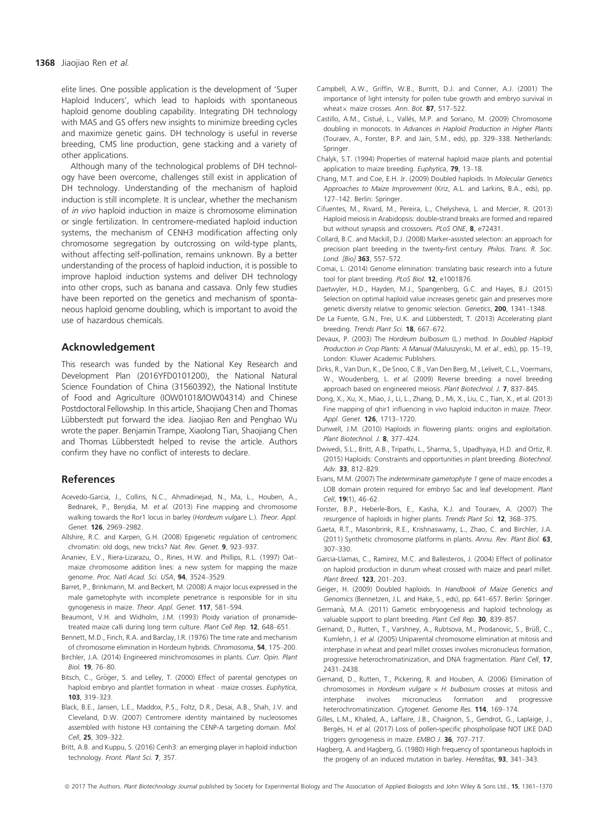elite lines. One possible application is the development of 'Super Haploid Inducers', which lead to haploids with spontaneous haploid genome doubling capability. Integrating DH technology with MAS and GS offers new insights to minimize breeding cycles and maximize genetic gains. DH technology is useful in reverse breeding, CMS line production, gene stacking and a variety of other applications.

Although many of the technological problems of DH technology have been overcome, challenges still exist in application of DH technology. Understanding of the mechanism of haploid induction is still incomplete. It is unclear, whether the mechanism of in vivo haploid induction in maize is chromosome elimination or single fertilization. In centromere-mediated haploid induction systems, the mechanism of CENH3 modification affecting only chromosome segregation by outcrossing on wild-type plants, without affecting self-pollination, remains unknown. By a better understanding of the process of haploid induction, it is possible to improve haploid induction systems and deliver DH technology into other crops, such as banana and cassava. Only few studies have been reported on the genetics and mechanism of spontaneous haploid genome doubling, which is important to avoid the use of hazardous chemicals.

# Acknowledgement

This research was funded by the National Key Research and Development Plan (2016YFD0101200), the National Natural Science Foundation of China (31560392), the National Institute of Food and Agriculture (IOW01018/IOW04314) and Chinese Postdoctoral Fellowship. In this article, Shaojiang Chen and Thomas Lübberstedt put forward the idea. Jiaojiao Ren and Penghao Wu wrote the paper. Benjamin Trampe, Xiaolong Tian, Shaojiang Chen and Thomas Lübberstedt helped to revise the article. Authors confirm they have no conflict of interests to declare.

## References

- Acevedo-Garcia, J., Collins, N.C., Ahmadinejad, N., Ma, L., Houben, A., Bednarek, P., Benjdia, M. et al. (2013) Fine mapping and chromosome walking towards the Ror1 locus in barley (Hordeum vulgare L.). Theor. Appl. Genet. 126, 2969–2982.
- Allshire, R.C. and Karpen, G.H. (2008) Epigenetic regulation of centromeric chromatin: old dogs, new tricks? Nat. Rev. Genet. 9, 923–937.
- Ananiev, E.V., Riera-Lizarazu, O., Rines, H.W. and Phillips, R.L. (1997) Oat– maize chromosome addition lines: a new system for mapping the maize genome. Proc. Natl Acad. Sci. USA, 94, 3524-3529.
- Barret, P., Brinkmann, M. and Beckert, M. (2008) A major locus expressed in the male gametophyte with incomplete penetrance is responsible for in situ gynogenesis in maize. Theor. Appl. Genet. 117, 581–594.
- Beaumont, V.H. and Widholm, J.M. (1993) Ploidy variation of pronamidetreated maize calli during long term culture. Plant Cell Rep. 12, 648–651.
- Bennett, M.D., Finch, R.A. and Barclay, I.R. (1976) The time rate and mechanism of chromosome elimination in Hordeum hybrids. Chromosoma, 54, 175–200.
- Birchler, J.A. (2014) Engineered minichromosomes in plants. Curr. Opin. Plant Biol. 19, 76–80.
- Bitsch, C., Gröger, S. and Lelley, T. (2000) Effect of parental genotypes on haploid embryo and plantlet formation in wheat  $\cdot$  maize crosses. Euphytica, 103, 319–323.
- Black, B.E., Jansen, L.E., Maddox, P.S., Foltz, D.R., Desai, A.B., Shah, J.V. and Cleveland, D.W. (2007) Centromere identity maintained by nucleosomes assembled with histone H3 containing the CENP-A targeting domain. Mol. Cell, 25, 309–322.
- Britt, A.B. and Kuppu, S. (2016) Cenh3: an emerging player in haploid induction technology. Front. Plant Sci. 7, 357.
- Campbell, A.W., Griffin, W.B., Burritt, D.J. and Conner, A.J. (2001) The importance of light intensity for pollen tube growth and embryo survival in wheat $\times$  maize crosses. Ann. Bot. 87, 517–522.
- Castillo, A.M., Cistue, L., Valles, M.P. and Soriano, M. (2009) Chromosome doubling in monocots. In Advances in Haploid Production in Higher Plants (Touraev, A., Forster, B.P. and Jain, S.M., eds), pp. 329–338. Netherlands: Springer.
- Chalyk, S.T. (1994) Properties of maternal haploid maize plants and potential application to maize breeding. Euphytica, 79, 13-18.
- Chang, M.T. and Coe, E.H. Jr. (2009) Doubled haploids. In Molecular Genetics Approaches to Maize Improvement (Kriz, A.L. and Larkins, B.A., eds), pp. 127–142. Berlin: Springer.
- Cifuentes, M., Rivard, M., Pereira, L., Chelysheva, L. and Mercier, R. (2013) Haploid meiosis in Arabidopsis: double-strand breaks are formed and repaired but without synapsis and crossovers. PLoS ONE 8, e72431.
- Collard, B.C. and Mackill, D.J. (2008) Marker-assisted selection: an approach for precision plant breeding in the twenty-first century. Philos. Trans. R. Soc. Lond. [Bio] 363, 557–572.
- Comai, L. (2014) Genome elimination: translating basic research into a future tool for plant breeding. PLoS Biol. 12, e1001876.
- Daetwyler, H.D., Hayden, M.J., Spangenberg, G.C. and Hayes, B.J. (2015) Selection on optimal haploid value increases genetic gain and preserves more genetic diversity relative to genomic selection. Genetics, 200, 1341-1348.
- De La Fuente, G.N., Frei, U.K. and Lübberstedt, T. (2013) Accelerating plant breeding. Trends Plant Sci. 18, 667–672.
- Devaux, P. (2003) The Hordeum bulbosum (L.) method. In Doubled Haploid Production in Crop Plants: A Manual (Maluszynski, M. et al., eds), pp. 15–19, London: Kluwer Academic Publishers.
- Dirks, R., Van Dun, K., De Snoo, C.B., Van Den Berg, M., Lelivelt, C.L., Voermans, W., Woudenberg, L. et al. (2009) Reverse breeding: a novel breeding approach based on engineered meiosis. Plant Biotechnol. J. 7, 837–845.
- Dong, X., Xu, X., Miao, J., Li, L., Zhang, D., Mi, X., Liu, C., Tian, X., et al. (2013) Fine mapping of qhir1 influencing in vivo haploid induciton in maize. Theor. Appl. Genet. **126**, 1713-1720.
- Dunwell, J.M. (2010) Haploids in flowering plants: origins and exploitation. Plant Biotechnol. J. 8, 377–424.
- Dwivedi, S.L., Britt, A.B., Tripathi, L., Sharma, S., Upadhyaya, H.D. and Ortiz, R. (2015) Haploids: Constraints and opportunities in plant breeding. Biotechnol. Adv. 33, 812–829.
- Evans, M.M. (2007) The indeterminate gametophyte 1 gene of maize encodes a LOB domain protein required for embryo Sac and leaf development. Plant Cell, 19(1), 46-62.
- Forster, B.P., Heberle-Bors, E., Kasha, K.J. and Touraev, A. (2007) The resurgence of haploids in higher plants. Trends Plant Sci. 12, 368-375.
- Gaeta, R.T., Masonbrink, R.E., Krishnaswamy, L., Zhao, C. and Birchler, J.A. (2011) Synthetic chromosome platforms in plants. Annu. Rev. Plant Biol. 63, 307–330.
- Garcia-Llamas, C., Ramirez, M.C. and Ballesteros, J. (2004) Effect of pollinator on haploid production in durum wheat crossed with maize and pearl millet. Plant Breed. 123, 201–203.
- Geiger, H. (2009) Doubled haploids. In Handbook of Maize Genetics and Genomics (Bennetzen, J.L. and Hake, S., eds), pp. 641–657. Berlin: Springer.
- Germanà, M.A. (2011) Gametic embryogenesis and haploid technology as valuable support to plant breeding. Plant Cell Rep. 30, 839-857.
- Gernand, D., Rutten, T., Varshney, A., Rubtsova, M., Prodanovic, S., Brüß, C., Kumlehn, J. et al. (2005) Uniparental chromosome elimination at mitosis and interphase in wheat and pearl millet crosses involves micronucleus formation, progressive heterochromatinization, and DNA fragmentation. Plant Cell, 17, 2431–2438.
- Gernand, D., Rutten, T., Pickering, R. and Houben, A. (2006) Elimination of chromosomes in Hordeum vulgare  $\times$  H. bulbosum crosses at mitosis and interphase involves micronucleus formation and progressive heterochromatinization. Cytogenet. Genome Res. 114, 169–174.
- Gilles, L.M., Khaled, A., Laffaire, J.B., Chaignon, S., Gendrot, G., Laplaige, J., Bergès, H. et al. (2017) Loss of pollen-specific phospholipase NOT LIKE DAD triggers gynogenesis in maize. EMBO J. 36, 707–717.
- Hagberg, A. and Hagberg, G. (1980) High frequency of spontaneous haploids in the progeny of an induced mutation in barley. Hereditas, 93, 341-343.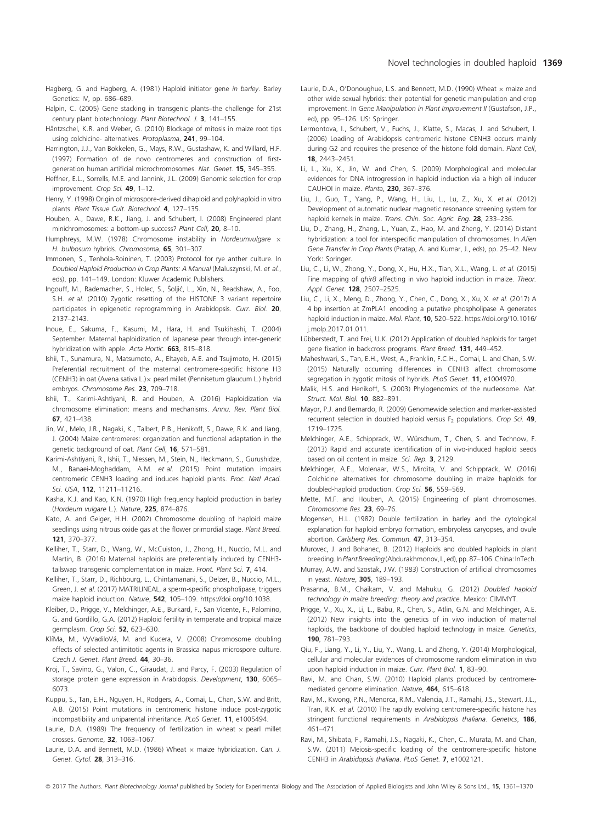- Hagberg, G. and Hagberg, A. (1981) Haploid initiator gene in barley. Barley Genetics: IV, pp. 686–689.
- Halpin, C. (2005) Gene stacking in transgenic plants–the challenge for 21st century plant biotechnology. Plant Biotechnol. J. 3, 141–155.
- Häntzschel, K.R. and Weber, G. (2010) Blockage of mitosis in maize root tips using colchicine- alternatives. Protoplasma, 241, 99–104.
- Harrington, J.J., Van Bokkelen, G., Mays, R.W., Gustashaw, K. and Willard, H.F. (1997) Formation of de novo centromeres and construction of firstgeneration human artificial microchromosomes. Nat. Genet. 15, 345–355.
- Heffner, E.L., Sorrells, M.E. and Jannink, J.L. (2009) Genomic selection for crop improvement. Crop Sci. 49, 1–12.
- Henry, Y. (1998) Origin of microspore-derived dihaploid and polyhaploid in vitro plants. Plant Tissue Cult. Biotechnol. 4, 127–135.
- Houben, A., Dawe, R.K., Jiang, J. and Schubert, I. (2008) Engineered plant minichromosomes: a bottom-up success? Plant Cell, 20, 8-10.
- Humphreys, M.W. (1978) Chromosome instability in Hordeumvulgare  $\times$ H. bulbosum hybrids. Chromosoma, 65, 301-307.
- Immonen, S., Tenhola-Roininen, T. (2003) Protocol for rye anther culture. In Doubled Haploid Production in Crop Plants: A Manual (Maluszynski, M. et al., eds), pp. 141–149. London: Kluwer Academic Publishers.
- Ingouff, M., Rademacher, S., Holec, S., Soljic, L., Xin, N., Readshaw, A., Foo, S.H. et al. (2010) Zygotic resetting of the HISTONE 3 variant repertoire participates in epigenetic reprogramming in Arabidopsis. Curr. Biol. 20, 2137–2143.
- Inoue, E., Sakuma, F., Kasumi, M., Hara, H. and Tsukihashi, T. (2004) September. Maternal haploidization of Japanese pear through inter-generic hybridization with apple. Acta Hortic. 663, 815-818.
- Ishii, T., Sunamura, N., Matsumoto, A., Eltayeb, A.E. and Tsujimoto, H. (2015) Preferential recruitment of the maternal centromere-specific histone H3 (CENH3) in oat (Avena sativa L.) $\times$  pearl millet (Pennisetum glaucum L.) hybrid embryos. Chromosome Res. 23, 709–718.
- Ishii, T., Karimi-Ashtiyani, R. and Houben, A. (2016) Haploidization via chromosome elimination: means and mechanisms. Annu. Rev. Plant Biol. 67, 421–438.
- Jin, W., Melo, J.R., Nagaki, K., Talbert, P.B., Henikoff, S., Dawe, R.K. and Jiang, J. (2004) Maize centromeres: organization and functional adaptation in the genetic background of oat. Plant Cell, 16, 571-581.
- Karimi-Ashtiyani, R., Ishii, T., Niessen, M., Stein, N., Heckmann, S., Gurushidze, M., Banaei-Moghaddam, A.M. et al. (2015) Point mutation impairs centromeric CENH3 loading and induces haploid plants. Proc. Natl Acad. Sci. USA, 112, 11211–11216.
- Kasha, K.J. and Kao, K.N. (1970) High frequency haploid production in barley (Hordeum vulgare L.). Nature, 225, 874–876.
- Kato, A. and Geiger, H.H. (2002) Chromosome doubling of haploid maize seedlings using nitrous oxide gas at the flower primordial stage. Plant Breed. 121, 370–377.
- Kelliher, T., Starr, D., Wang, W., McCuiston, J., Zhong, H., Nuccio, M.L. and Martin, B. (2016) Maternal haploids are preferentially induced by CENH3 tailswap transgenic complementation in maize. Front. Plant Sci. 7, 414.
- Kelliher, T., Starr, D., Richbourg, L., Chintamanani, S., Delzer, B., Nuccio, M.L., Green, J. et al. (2017) MATRILINEAL, a sperm-specific phospholipase, triggers maize haploid induction. Nature, 542, 105–109. [https://doi.org/10.1038.](https://doi.org/10.1038)
- Kleiber, D., Prigge, V., Melchinger, A.E., Burkard, F., San Vicente, F., Palomino, G. and Gordillo, G.A. (2012) Haploid fertility in temperate and tropical maize germplasm. Crop Sci. 52, 623–630.
- KlíMa, M., VyVadiloVá, M. and Kucera, V. (2008) Chromosome doubling effects of selected antimitotic agents in Brassica napus microspore culture. Czech J. Genet. Plant Breed. 44, 30–36.
- Kroj, T., Savino, G., Valon, C., Giraudat, J. and Parcy, F. (2003) Regulation of storage protein gene expression in Arabidopsis. Development, 130, 6065-6073.
- Kuppu, S., Tan, E.H., Nguyen, H., Rodgers, A., Comai, L., Chan, S.W. and Britt, A.B. (2015) Point mutations in centromeric histone induce post-zygotic incompatibility and uniparental inheritance. PLoS Genet. 11, e1005494.
- Laurie, D.A. (1989) The frequency of fertilization in wheat  $\times$  pearl millet crosses. Genome, 32, 1063–1067.
- Laurie, D.A. and Bennett, M.D. (1986) Wheat  $\times$  maize hybridization. Can. J. Genet. Cytol. 28, 313–316.
- Laurie, D.A., O'Donoughue, L.S. and Bennett, M.D. (1990) Wheat  $\times$  maize and other wide sexual hybrids: their potential for genetic manipulation and crop improvement. In Gene Manipulation in Plant Improvement II (Gustafson, J.P., ed), pp. 95–126. US: Springer.
- Lermontova, I., Schubert, V., Fuchs, J., Klatte, S., Macas, J. and Schubert, I. (2006) Loading of Arabidopsis centromeric histone CENH3 occurs mainly during G2 and requires the presence of the histone fold domain. Plant Cell, 18, 2443–2451.
- Li, L., Xu, X., Jin, W. and Chen, S. (2009) Morphological and molecular evidences for DNA introgression in haploid induction via a high oil inducer CAUHOI in maize. Planta, 230, 367–376.
- Liu, J., Guo, T., Yang, P., Wang, H., Liu, L., Lu, Z., Xu, X. et al. (2012) Development of automatic nuclear magnetic resonance screening system for haploid kernels in maize. Trans. Chin. Soc. Agric. Eng. 28, 233-236.
- Liu, D., Zhang, H., Zhang, L., Yuan, Z., Hao, M. and Zheng, Y. (2014) Distant hybridization: a tool for interspecific manipulation of chromosomes. In Alien Gene Transfer in Crop Plants (Pratap, A. and Kumar, J., eds), pp. 25–42. New York: Springer.
- Liu, C., Li, W., Zhong, Y., Dong, X., Hu, H.X., Tian, X.L., Wang, L. et al. (2015) Fine mapping of qhir8 affecting in vivo haploid induction in maize. Theor. Appl. Genet. 128, 2507–2525.
- Liu, C., Li, X., Meng, D., Zhong, Y., Chen, C., Dong, X., Xu, X. et al. (2017) A 4 bp insertion at ZmPLA1 encoding a putative phospholipase A generates haploid induction in maize. Mol. Plant, 10, 520-522. [https://doi.org/10.1016/](https://doi.org/10.1016/j.molp.2017.01.011) [j.molp.2017.01.011](https://doi.org/10.1016/j.molp.2017.01.011).
- Lübberstedt, T. and Frei, U.K. (2012) Application of doubled haploids for target gene fixation in backcross programs. Plant Breed. 131, 449-452.
- Maheshwari, S., Tan, E.H., West, A., Franklin, F.C.H., Comai, L. and Chan, S.W. (2015) Naturally occurring differences in CENH3 affect chromosome segregation in zygotic mitosis of hybrids. PLoS Genet. 11, e1004970.
- Malik, H.S. and Henikoff, S. (2003) Phylogenomics of the nucleosome. Nat. Struct. Mol. Biol. 10, 882–891.
- Mayor, P.J. and Bernardo, R. (2009) Genomewide selection and marker-assisted recurrent selection in doubled haploid versus  $F_2$  populations. Crop Sci. 49, 1719–1725.
- Melchinger, A.E., Schipprack, W., Würschum, T., Chen, S. and Technow, F. (2013) Rapid and accurate identification of in vivo-induced haploid seeds based on oil content in maize. Sci. Rep. 3, 2129.
- Melchinger, A.E., Molenaar, W.S., Mirdita, V. and Schipprack, W. (2016) Colchicine alternatives for chromosome doubling in maize haploids for doubled-haploid production. Crop Sci. 56, 559–569.
- Mette, M.F. and Houben, A. (2015) Engineering of plant chromosomes. Chromosome Res. 23, 69–76.
- Mogensen, H.L. (1982) Double fertilization in barley and the cytological explanation for haploid embryo formation, embryoless caryopses, and ovule abortion. Carlsberg Res. Commun. 47, 313–354.
- Murovec, J. and Bohanec, B. (2012) Haploids and doubled haploids in plant breeding. InPlant Breeding(Abdurakhmonov, I., ed), pp. 87–106.China: InTech.
- Murray, A.W. and Szostak, J.W. (1983) Construction of artificial chromosomes in yeast. Nature, 305, 189–193.
- Prasanna, B.M., Chaikam, V. and Mahuku, G. (2012) Doubled haploid technology in maize breeding: theory and practice. Mexico: CIMMYT.
- Prigge, V., Xu, X., Li, L., Babu, R., Chen, S., Atlin, G.N. and Melchinger, A.E. (2012) New insights into the genetics of in vivo induction of maternal haploids, the backbone of doubled haploid technology in maize. Genetics, 190, 781–793.
- Qiu, F., Liang, Y., Li, Y., Liu, Y., Wang, L. and Zheng, Y. (2014) Morphological, cellular and molecular evidences of chromosome random elimination in vivo upon haploid induction in maize. Curr. Plant Biol. 1, 83–90.
- Ravi, M. and Chan, S.W. (2010) Haploid plants produced by centromeremediated genome elimination. Nature, 464, 615-618.
- Ravi, M., Kwong, P.N., Menorca, R.M., Valencia, J.T., Ramahi, J.S., Stewart, J.L., Tran, R.K. et al. (2010) The rapidly evolving centromere-specific histone has stringent functional requirements in Arabidopsis thaliana. Genetics, 186, 461–471.
- Ravi, M., Shibata, F., Ramahi, J.S., Nagaki, K., Chen, C., Murata, M. and Chan, S.W. (2011) Meiosis-specific loading of the centromere-specific histone CENH3 in Arabidopsis thaliana. PLoS Genet. 7, e1002121.